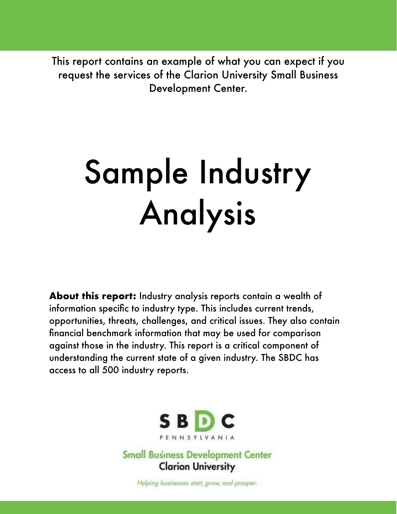This report contains an example of what you can expect if you request the services of the Clarion University Small Business Development Center.

# Sample Industry Analysis

**About this report:** Industry analysis reports contain a wealth of information specific to industry type. This includes current trends, opportunities, threats, challenges, and critical issues. They also contain financial benchmark information that may be used for comparison against those in the industry. This report is a critical component of understanding the current state of a given industry. The SBDC has access to all 500 industry reports.



**Small Business Development Center Clarion University** 

Helping businesses start, grow, and prosper.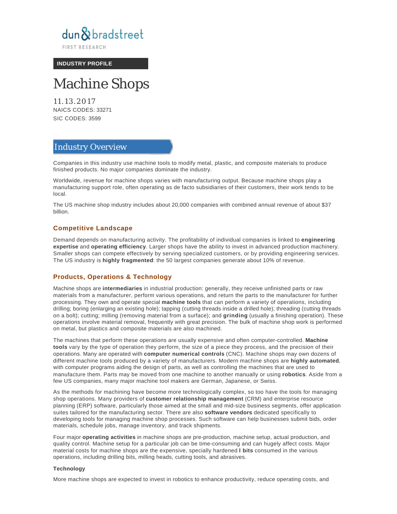

**FIRST RESEARCH** 

**INDUSTRY PROFILE**

# Machine Shops

11.13.2017 NAICS CODES: 33271 SIC CODES: 3599

# Industry Overview

Companies in this industry use machine tools to modify metal, plastic, and composite materials to produce finished products. No major companies dominate the industry.

Worldwide, revenue for machine shops varies with manufacturing output. Because machine shops play a manufacturing support role, often operating as de facto subsidiaries of their customers, their work tends to be local.

The US machine shop industry includes about 20,000 companies with combined annual revenue of about \$37 billion.

#### **Competitive Landscape**

Demand depends on manufacturing activity. The profitability of individual companies is linked to **engineering expertise** and **operating efficiency**. Larger shops have the ability to invest in advanced production machinery. Smaller shops can compete effectively by serving specialized customers, or by providing engineering services. The US industry is **highly fragmented**: the 50 largest companies generate about 10% of revenue.

#### **Products, Operations & Technology**

Machine shops are **intermediaries** in industrial production: generally, they receive unfinished parts or raw materials from a manufacturer, perform various operations, and return the parts to the manufacturer for further processing. They own and operate special **machine tools** that can perform a variety of operations, including drilling; boring (enlarging an existing hole); tapping (cutting threads inside a drilled hole); threading (cutting threads on a bolt); cutting; milling (removing material from a surface); and **grinding** (usually a finishing operation). These operations involve material removal, frequently with great precision. The bulk of machine shop work is performed on metal, but plastics and composite materials are also machined.

The machines that perform these operations are usually expensive and often computer-controlled. **Machine tools** vary by the type of operation they perform, the size of a piece they process, and the precision of their operations. Many are operated with **computer numerical controls** (CNC). Machine shops may own dozens of different machine tools produced by a variety of manufacturers. Modern machine shops are **highly automated**, with computer programs aiding the design of parts, as well as controlling the machines that are used to manufacture them. Parts may be moved from one machine to another manually or using **robotics**. Aside from a few US companies, many major machine tool makers are German, Japanese, or Swiss.

As the methods for machining have become more technologically complex, so too have the tools for managing shop operations. Many providers of **customer relationship management** (CRM) and enterprise resource planning (ERP) software, particularly those aimed at the small and mid-size business segments, offer application suites tailored for the manufacturing sector. There are also **software vendors** dedicated specifically to developing tools for managing machine shop processes. Such software can help businesses submit bids, order materials, schedule jobs, manage inventory, and track shipments.

Four major **operating activities** in machine shops are pre-production, machine setup, actual production, and quality control. Machine setup for a particular job can be time-consuming and can hugely affect costs. Major material costs for machine shops are the expensive, specially hardened **l bits** consumed in the various operations, including drilling bits, milling heads, cutting tools, and abrasives.

#### **Technology**

More machine shops are expected to invest in robotics to enhance productivity, reduce operating costs, and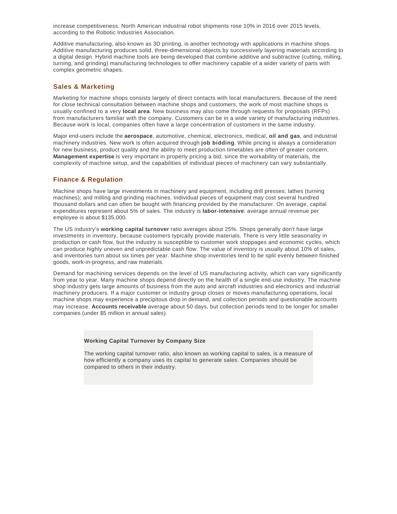increase competitiveness. North American industrial robot shipments rose 10% in 2016 over 2015 levels, according to the Robotic Industries Association.

Additive manufacturing, also known as 3D printing, is another technology with applications in machine shops. Additive manufacturing produces solid, three-dimensional objects by successively layering materials according to a digital design. Hybrid machine tools are being developed that combine additive and subtractive (cutting, milling, turning, and grinding) manufacturing technologies to offer machinery capable of a wider variety of parts with complex geometric shapes.

#### **Sales & Marketing**

Marketing for machine shops consists largely of direct contacts with local manufacturers. Because of the need for close technical consultation between machine shops and customers, the work of most machine shops is usually confined to a very **local area**. New business may also come through requests for proposals (RFPs) from manufacturers familiar with the company. Customers can be in a wide variety of manufacturing industries. Because work is local, companies often have a large concentration of customers in the same industry.

Major end-users include the **aerospace**, automotive, chemical, electronics, medical, **oil and gas**, and industrial machinery industries. New work is often acquired through **job bidding**. While pricing is always a consideration for new business, product quality and the ability to meet production timetables are often of greater concern. **Management expertise** is very important in properly pricing a bid, since the workability of materials, the complexity of machine setup, and the capabilities of individual pieces of machinery can vary substantially.

#### **Finance & Regulation**

Machine shops have large investments in machinery and equipment, including drill presses; lathes (turning machines); and milling and grinding machines. Individual pieces of equipment may cost several hundred thousand dollars and can often be bought with financing provided by the manufacturer. On average, capital expenditures represent about 5% of sales. The industry is **labor-intensive**: average annual revenue per employee is about \$135,000.

The US industry's **working capital turnover** ratio averages about 25%. Shops generally don't have large investments in inventory, because customers typically provide materials. There is very little seasonality in production or cash flow, but the industry is susceptible to customer work stoppages and economic cycles, which can produce highly uneven and unpredictable cash flow. The value of inventory is usually about 10% of sales, and inventories turn about six times per year. Machine shop inventories tend to be split evenly between finished goods, work-in-progress, and raw materials.

Demand for machining services depends on the level of US manufacturing activity, which can vary significantly from year to year. Many machine shops depend directly on the health of a single end-use industry. The machine shop industry gets large amounts of business from the auto and aircraft industries and electronics and industrial machinery producers. If a major customer or industry group closes or moves manufacturing operations, local machine shops may experience a precipitous drop in demand, and collection periods and questionable accounts may increase. **Accounts receivable** average about 50 days, but collection periods tend to be longer for smaller companies (under \$5 million in annual sales).

#### **Working Capital Turnover by Company Size**

The working capital turnover ratio, also known as working capital to sales, is a measure of how efficiently a company uses its capital to generate sales. Companies should be compared to others in their industry.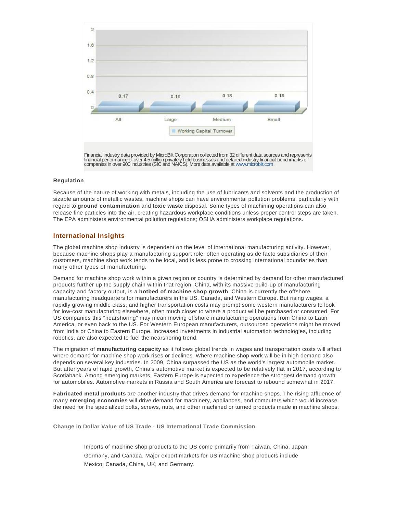

#### **Regulation**

Because of the nature of working with metals, including the use of lubricants and solvents and the production of sizable amounts of metallic wastes, machine shops can have environmental pollution problems, particularly with regard to **ground contamination** and **toxic waste** disposal. Some types of machining operations can also release fine particles into the air, creating hazardous workplace conditions unless proper control steps are taken. The EPA administers environmental pollution regulations; OSHA administers workplace regulations.

#### **International Insights**

The global machine shop industry is dependent on the level of international manufacturing activity. However, because machine shops play a manufacturing support role, often operating as de facto subsidiaries of their customers, machine shop work tends to be local, and is less prone to crossing international boundaries than many other types of manufacturing.

Demand for machine shop work within a given region or country is determined by demand for other manufactured products further up the supply chain within that region. China, with its massive build-up of manufacturing capacity and factory output, is a **hotbed of machine shop growth**. China is currently the offshore manufacturing headquarters for manufacturers in the US, Canada, and Western Europe. But rising wages, a rapidly growing middle class, and higher transportation costs may prompt some western manufacturers to look for low-cost manufacturing elsewhere, often much closer to where a product will be purchased or consumed. For US companies this "nearshoring" may mean moving offshore manufacturing operations from China to Latin America, or even back to the US. For Western European manufacturers, outsourced operations might be moved from India or China to Eastern Europe. Increased investments in industrial automation technologies, including robotics, are also expected to fuel the nearshoring trend.

The migration of **manufacturing capacity** as it follows global trends in wages and transportation costs will affect where demand for machine shop work rises or declines. Where machine shop work will be in high demand also depends on several key industries. In 2009, China surpassed the US as the world's largest automobile market. But after years of rapid growth, China's automotive market is expected to be relatively flat in 2017, according to Scotiabank. Among emerging markets, Eastern Europe is expected to experience the strongest demand growth for automobiles. Automotive markets in Russia and South America are forecast to rebound somewhat in 2017.

**Fabricated metal products** are another industry that drives demand for machine shops. The rising affluence of many **emerging economies** will drive demand for machinery, appliances, and computers which would increase the need for the specialized bolts, screws, nuts, and other machined or turned products made in machine shops.

**Change in Dollar Value of US Trade - US International Trade Commission**

Imports of machine shop products to the US come primarily from Taiwan, China, Japan, Germany, and Canada. Major export markets for US machine shop products include Mexico, Canada, China, UK, and Germany.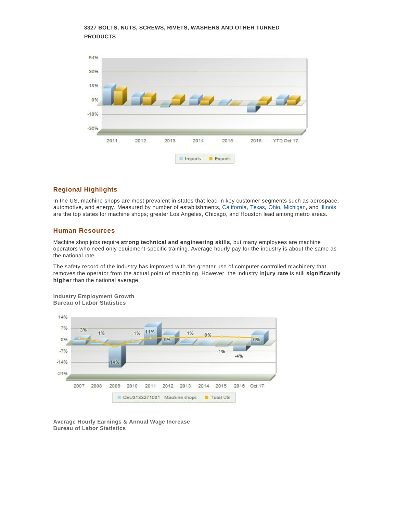#### **3327 BOLTS, NUTS, SCREWS, RIVETS, WASHERS AND OTHER TURNED PRODUCTS**



#### **Regional Highlights**

In the US, machine shops are most prevalent in states that lead in key customer segments such as aerospace, automotive, and energy. Measured by number of establishments, California, Texas, Ohio, Michigan, and Illinois are the top states for machine shops; greater Los Angeles, Chicago, and Houston lead among metro areas.

### **Human Resources**

Machine shop jobs require **strong technical and engineering skills**, but many employees are machine operators who need only equipment-specific training. Average hourly pay for the industry is about the same as the national rate.

The safety record of the industry has improved with the greater use of computer-controlled machinery that removes the operator from the actual point of machining. However, the industry **injury rate** is still **significantly higher** than the national average.

**Industry Employment Growth Bureau of Labor Statistics**



**Average Hourly Earnings & Annual Wage Increase Bureau of Labor Statistics**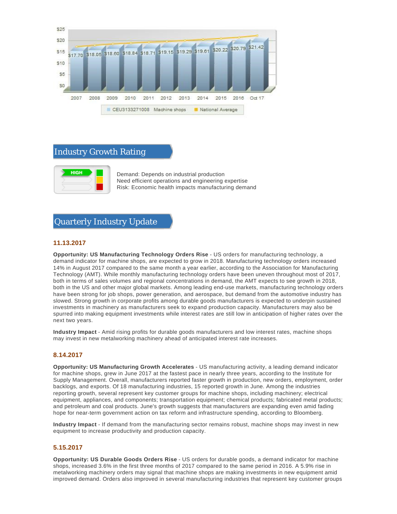

# Industry Growth Rating



Demand: Depends on industrial production Need efficient operations and engineering expertise Risk: Economic health impacts manufacturing demand

# Quarterly Industry Update

#### **11.13.2017**

**Opportunity: US Manufacturing Technology Orders Rise** - US orders for manufacturing technology, a demand indicator for machine shops, are expected to grow in 2018. Manufacturing technology orders increased 14% in August 2017 compared to the same month a year earlier, according to the Association for Manufacturing Technology (AMT). While monthly manufacturing technology orders have been uneven throughout most of 2017, both in terms of sales volumes and regional concentrations in demand, the AMT expects to see growth in 2018, both in the US and other major global markets. Among leading end-use markets, manufacturing technology orders have been strong for job shops, power generation, and aerospace, but demand from the automotive industry has slowed. Strong growth in corporate profits among durable goods manufacturers is expected to underpin sustained investments in machinery as manufacturers seek to expand production capacity. Manufacturers may also be spurred into making equipment investments while interest rates are still low in anticipation of higher rates over the next two years.

**Industry Impact** - Amid rising profits for durable goods manufacturers and low interest rates, machine shops may invest in new metalworking machinery ahead of anticipated interest rate increases.

#### **8.14.2017**

**Opportunity: US Manufacturing Growth Accelerates** - US manufacturing activity, a leading demand indicator for machine shops, grew in June 2017 at the fastest pace in nearly three years, according to the Institute for Supply Management. Overall, manufacturers reported faster growth in production, new orders, employment, order backlogs, and exports. Of 18 manufacturing industries, 15 reported growth in June. Among the industries reporting growth, several represent key customer groups for machine shops, including machinery; electrical equipment, appliances, and components; transportation equipment; chemical products; fabricated metal products; and petroleum and coal products. June's growth suggests that manufacturers are expanding even amid fading hope for near-term government action on tax reform and infrastructure spending, according to Bloomberg.

**Industry Impact** - If demand from the manufacturing sector remains robust, machine shops may invest in new equipment to increase productivity and production capacity.

#### **5.15.2017**

**Opportunity: US Durable Goods Orders Rise** - US orders for durable goods, a demand indicator for machine shops, increased 3.6% in the first three months of 2017 compared to the same period in 2016. A 5.9% rise in metalworking machinery orders may signal that machine shops are making investments in new equipment amid improved demand. Orders also improved in several manufacturing industries that represent key customer groups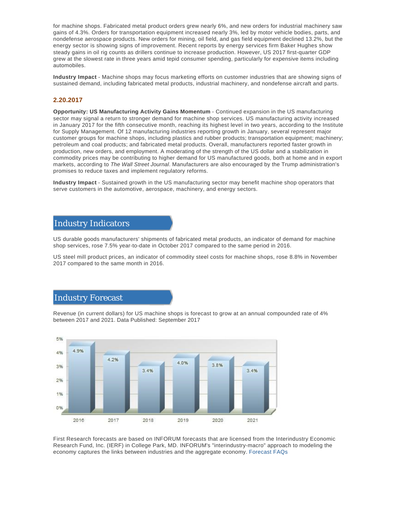for machine shops. Fabricated metal product orders grew nearly 6%, and new orders for industrial machinery saw gains of 4.3%. Orders for transportation equipment increased nearly 3%, led by motor vehicle bodies, parts, and nondefense aerospace products. New orders for mining, oil field, and gas field equipment declined 13.2%, but the energy sector is showing signs of improvement. Recent reports by energy services firm Baker Hughes show steady gains in oil rig counts as drillers continue to increase production. However, US 2017 first-quarter GDP grew at the slowest rate in three years amid tepid consumer spending, particularly for expensive items including automobiles.

**Industry Impact** - Machine shops may focus marketing efforts on customer industries that are showing signs of sustained demand, including fabricated metal products, industrial machinery, and nondefense aircraft and parts.

#### **2.20.2017**

**Opportunity: US Manufacturing Activity Gains Momentum** - Continued expansion in the US manufacturing sector may signal a return to stronger demand for machine shop services. US manufacturing activity increased in January 2017 for the fifth consecutive month, reaching its highest level in two years, according to the Institute for Supply Management. Of 12 manufacturing industries reporting growth in January, several represent major customer groups for machine shops, including plastics and rubber products; transportation equipment; machinery; petroleum and coal products; and fabricated metal products. Overall, manufacturers reported faster growth in production, new orders, and employment. A moderating of the strength of the US dollar and a stabilization in commodity prices may be contributing to higher demand for US manufactured goods, both at home and in export markets, according to The Wall Street Journal. Manufacturers are also encouraged by the Trump administration's promises to reduce taxes and implement regulatory reforms.

**Industry Impact** - Sustained growth in the US manufacturing sector may benefit machine shop operators that serve customers in the automotive, aerospace, machinery, and energy sectors.

## Industry Indicators

US durable goods manufacturers' shipments of fabricated metal products, an indicator of demand for machine shop services, rose 7.5% year-to-date in October 2017 compared to the same period in 2016.

US steel mill product prices, an indicator of commodity steel costs for machine shops, rose 8.8% in November 2017 compared to the same month in 2016.

## Industry Forecast

Revenue (in current dollars) for US machine shops is forecast to grow at an annual compounded rate of 4% between 2017 and 2021. Data Published: September 2017



First Research forecasts are based on INFORUM forecasts that are licensed from the Interindustry Economic Research Fund, Inc. (IERF) in College Park, MD. INFORUM's "interindustry-macro" approach to modeling the economy captures the links between industries and the aggregate economy. Forecast FAQs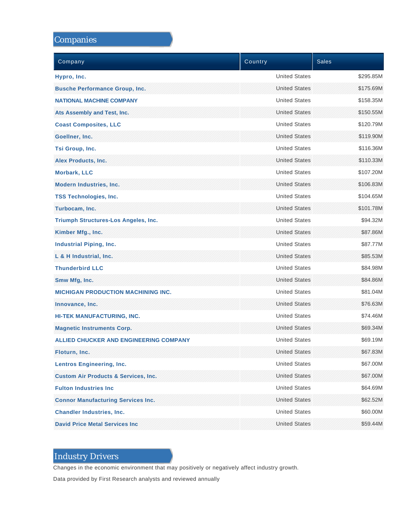# Companies

| Company                                         | Country              | <b>Sales</b> |
|-------------------------------------------------|----------------------|--------------|
| Hypro, Inc.                                     | <b>United States</b> | \$295.85M    |
| <b>Busche Performance Group, Inc.</b>           | <b>United States</b> | \$175.69M    |
| <b>NATIONAL MACHINE COMPANY</b>                 | <b>United States</b> | \$158.35M    |
| Ats Assembly and Test, Inc.                     | <b>United States</b> | \$150.55M    |
| <b>Coast Composites, LLC</b>                    | <b>United States</b> | \$120.79M    |
| Goellner, Inc.                                  | <b>United States</b> | \$119.90M    |
| Tsi Group, Inc.                                 | <b>United States</b> | \$116.36M    |
| <b>Alex Products, Inc.</b>                      | <b>United States</b> | \$110.33M    |
| <b>Morbark, LLC</b>                             | <b>United States</b> | \$107.20M    |
| <b>Modern Industries, Inc.</b>                  | <b>United States</b> | \$106.83M    |
| <b>TSS Technologies, Inc.</b>                   | <b>United States</b> | \$104.65M    |
| Turbocam, Inc.                                  | <b>United States</b> | \$101.78M    |
| <b>Triumph Structures-Los Angeles, Inc.</b>     | <b>United States</b> | \$94.32M     |
| Kimber Mfg., Inc.                               | <b>United States</b> | \$87.86M     |
| <b>Industrial Piping, Inc.</b>                  | <b>United States</b> | \$87.77M     |
| L & H Industrial, Inc.                          | <b>United States</b> | \$85.53M     |
| <b>Thunderbird LLC</b>                          | <b>United States</b> | \$84.98M     |
| Smw Mfg, Inc.                                   | <b>United States</b> | \$84.86M     |
| <b>MICHIGAN PRODUCTION MACHINING INC.</b>       | <b>United States</b> | \$81.04M     |
| Innovance, Inc.                                 | <b>United States</b> | \$76.63M     |
| HI-TEK MANUFACTURING, INC.                      | <b>United States</b> | \$74.46M     |
| <b>Magnetic Instruments Corp.</b>               | <b>United States</b> | \$69.34M     |
| <b>ALLIED CHUCKER AND ENGINEERING COMPANY</b>   | <b>United States</b> | \$69.19M     |
| Floturn, Inc.                                   | <b>United States</b> | \$67.83M     |
| <b>Lentros Engineering, Inc.</b>                | <b>United States</b> | \$67.00M     |
| <b>Custom Air Products &amp; Services, Inc.</b> | <b>United States</b> | \$67.00M     |
| <b>Fulton Industries Inc.</b>                   | <b>United States</b> | \$64.69M     |
| <b>Connor Manufacturing Services Inc.</b>       | <b>United States</b> | \$62.52M     |
| <b>Chandler Industries, Inc.</b>                | <b>United States</b> | \$60.00M     |
| <b>David Price Metal Services Inc.</b>          | <b>United States</b> | \$59.44M     |

# Industry Drivers

Changes in the economic environment that may positively or negatively affect industry growth.

Data provided by First Research analysts and reviewed annually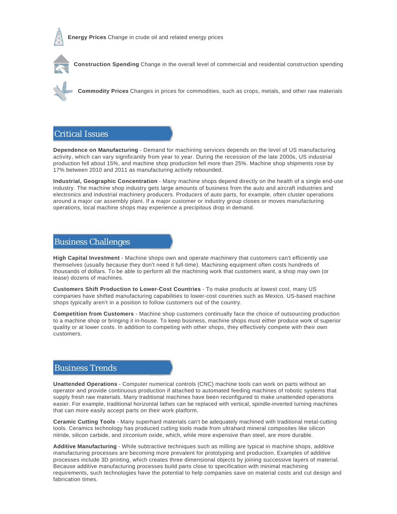



**Construction Spending** Change in the overall level of commercial and residential construction spending



**Commodity Prices** Changes in prices for commodities, such as crops, metals, and other raw materials

# Critical Issues

**Dependence on Manufacturing** - Demand for machining services depends on the level of US manufacturing activity, which can vary significantly from year to year. During the recession of the late 2000s, US industrial production fell about 15%, and machine shop production fell more than 25%. Machine shop shipments rose by 17% between 2010 and 2011 as manufacturing activity rebounded.

**Industrial, Geographic Concentration** - Many machine shops depend directly on the health of a single end-use industry. The machine shop industry gets large amounts of business from the auto and aircraft industries and electronics and industrial machinery producers. Producers of auto parts, for example, often cluster operations around a major car assembly plant. If a major customer or industry group closes or moves manufacturing operations, local machine shops may experience a precipitous drop in demand.

# Business Challenges

**High Capital Investment** - Machine shops own and operate machinery that customers can't efficiently use themselves (usually because they don't need it full-time). Machining equipment often costs hundreds of thousands of dollars. To be able to perform all the machining work that customers want, a shop may own (or lease) dozens of machines.

**Customers Shift Production to Lower-Cost Countries** - To make products at lowest cost, many US companies have shifted manufacturing capabilities to lower-cost countries such as Mexico. US-based machine shops typically aren't in a position to follow customers out of the country.

**Competition from Customers** - Machine shop customers continually face the choice of outsourcing production to a machine shop or bringing it in-house. To keep business, machine shops must either produce work of superior quality or at lower costs. In addition to competing with other shops, they effectively compete with their own customers.

# Business Trends

**Unattended Operations** - Computer numerical controls (CNC) machine tools can work on parts without an operator and provide continuous production if attached to automated feeding machines of robotic systems that supply fresh raw materials. Many traditional machines have been reconfigured to make unattended operations easier. For example, traditional horizontal lathes can be replaced with vertical, spindle-inverted turning machines that can more easily accept parts on their work platform.

**Ceramic Cutting Tools** - Many superhard materials can't be adequately machined with traditional metal-cutting tools. Ceramics technology has produced cutting tools made from ultrahard mineral composites like silicon nitride, silicon carbide, and zirconium oxide, which, while more expensive than steel, are more durable.

**Additive Manufacturing** - While subtractive techniques such as milling are typical in machine shops, additive manufacturing processes are becoming more prevalent for prototyping and production. Examples of additive processes include 3D printing, which creates three dimensional objects by joining successive layers of material. Because additive manufacturing processes build parts close to specification with minimal machining requirements, such technologies have the potential to help companies save on material costs and cut design and fabrication times.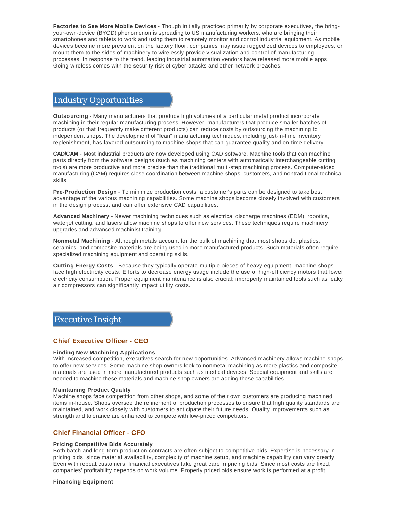**Factories to See More Mobile Devices** - Though initially practiced primarily by corporate executives, the bringyour-own-device (BYOD) phenomenon is spreading to US manufacturing workers, who are bringing their smartphones and tablets to work and using them to remotely monitor and control industrial equipment. As mobile devices become more prevalent on the factory floor, companies may issue ruggedized devices to employees, or mount them to the sides of machinery to wirelessly provide visualization and control of manufacturing processes. In response to the trend, leading industrial automation vendors have released more mobile apps. Going wireless comes with the security risk of cyber-attacks and other network breaches.

# Industry Opportunities

**Outsourcing** - Many manufacturers that produce high volumes of a particular metal product incorporate machining in their regular manufacturing process. However, manufacturers that produce smaller batches of products (or that frequently make different products) can reduce costs by outsourcing the machining to independent shops. The development of "lean" manufacturing techniques, including just-in-time inventory replenishment, has favored outsourcing to machine shops that can guarantee quality and on-time delivery.

**CAD/CAM** - Most industrial products are now developed using CAD software. Machine tools that can machine parts directly from the software designs (such as machining centers with automatically interchangeable cutting tools) are more productive and more precise than the traditional multi-step machining process. Computer-aided manufacturing (CAM) requires close coordination between machine shops, customers, and nontraditional technical skills.

**Pre-Production Design** - To minimize production costs, a customer's parts can be designed to take best advantage of the various machining capabilities. Some machine shops become closely involved with customers in the design process, and can offer extensive CAD capabilities.

**Advanced Machinery** - Newer machining techniques such as electrical discharge machines (EDM), robotics, wateriet cutting, and lasers allow machine shops to offer new services. These techniques require machinery upgrades and advanced machinist training.

**Nonmetal Machining** - Although metals account for the bulk of machining that most shops do, plastics, ceramics, and composite materials are being used in more manufactured products. Such materials often require specialized machining equipment and operating skills.

**Cutting Energy Costs** - Because they typically operate multiple pieces of heavy equipment, machine shops face high electricity costs. Efforts to decrease energy usage include the use of high-efficiency motors that lower electricity consumption. Proper equipment maintenance is also crucial; improperly maintained tools such as leaky air compressors can significantly impact utility costs.

# Executive Insight

#### **Chief Executive Officer - CEO**

#### **Finding New Machining Applications**

With increased competition, executives search for new opportunities. Advanced machinery allows machine shops to offer new services. Some machine shop owners look to nonmetal machining as more plastics and composite materials are used in more manufactured products such as medical devices. Special equipment and skills are needed to machine these materials and machine shop owners are adding these capabilities.

#### **Maintaining Product Quality**

Machine shops face competition from other shops, and some of their own customers are producing machined items in-house. Shops oversee the refinement of production processes to ensure that high quality standards are maintained, and work closely with customers to anticipate their future needs. Quality improvements such as strength and tolerance are enhanced to compete with low-priced competitors.

#### **Chief Financial Officer - CFO**

#### **Pricing Competitive Bids Accurately**

Both batch and long-term production contracts are often subject to competitive bids. Expertise is necessary in pricing bids, since material availability, complexity of machine setup, and machine capability can vary greatly. Even with repeat customers, financial executives take great care in pricing bids. Since most costs are fixed, companies' profitability depends on work volume. Properly priced bids ensure work is performed at a profit.

#### **Financing Equipment**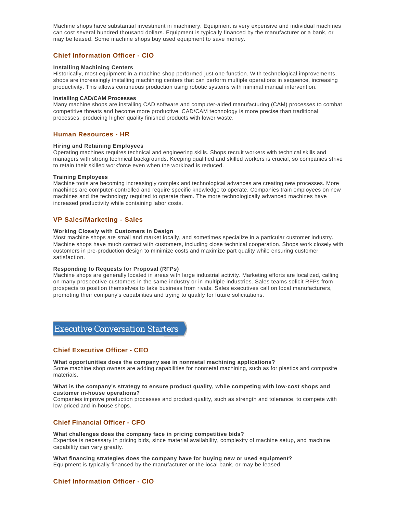Machine shops have substantial investment in machinery. Equipment is very expensive and individual machines can cost several hundred thousand dollars. Equipment is typically financed by the manufacturer or a bank, or may be leased. Some machine shops buy used equipment to save money.

#### **Chief Information Officer - CIO**

#### **Installing Machining Centers**

Historically, most equipment in a machine shop performed just one function. With technological improvements, shops are increasingly installing machining centers that can perform multiple operations in sequence, increasing productivity. This allows continuous production using robotic systems with minimal manual intervention.

#### **Installing CAD/CAM Processes**

Many machine shops are installing CAD software and computer-aided manufacturing (CAM) processes to combat competitive threats and become more productive. CAD/CAM technology is more precise than traditional processes, producing higher quality finished products with lower waste.

#### **Human Resources - HR**

#### **Hiring and Retaining Employees**

Operating machines requires technical and engineering skills. Shops recruit workers with technical skills and managers with strong technical backgrounds. Keeping qualified and skilled workers is crucial, so companies strive to retain their skilled workforce even when the workload is reduced.

#### **Training Employees**

Machine tools are becoming increasingly complex and technological advances are creating new processes. More machines are computer-controlled and require specific knowledge to operate. Companies train employees on new machines and the technology required to operate them. The more technologically advanced machines have increased productivity while containing labor costs.

#### **VP Sales/Marketing - Sales**

#### **Working Closely with Customers in Design**

Most machine shops are small and market locally, and sometimes specialize in a particular customer industry. Machine shops have much contact with customers, including close technical cooperation. Shops work closely with customers in pre-production design to minimize costs and maximize part quality while ensuring customer satisfaction.

#### **Responding to Requests for Proposal (RFPs)**

Machine shops are generally located in areas with large industrial activity. Marketing efforts are localized, calling on many prospective customers in the same industry or in multiple industries. Sales teams solicit RFPs from prospects to position themselves to take business from rivals. Sales executives call on local manufacturers, promoting their company's capabilities and trying to qualify for future solicitations.

# Executive Conversation Starters

#### **Chief Executive Officer - CEO**

**What opportunities does the company see in nonmetal machining applications?** Some machine shop owners are adding capabilities for nonmetal machining, such as for plastics and composite materials.

#### **What is the company's strategy to ensure product quality, while competing with low-cost shops and customer in-house operations?**

Companies improve production processes and product quality, such as strength and tolerance, to compete with low-priced and in-house shops.

#### **Chief Financial Officer - CFO**

#### **What challenges does the company face in pricing competitive bids?**

Expertise is necessary in pricing bids, since material availability, complexity of machine setup, and machine capability can vary greatly.

**What financing strategies does the company have for buying new or used equipment?** Equipment is typically financed by the manufacturer or the local bank, or may be leased.

#### **Chief Information Officer - CIO**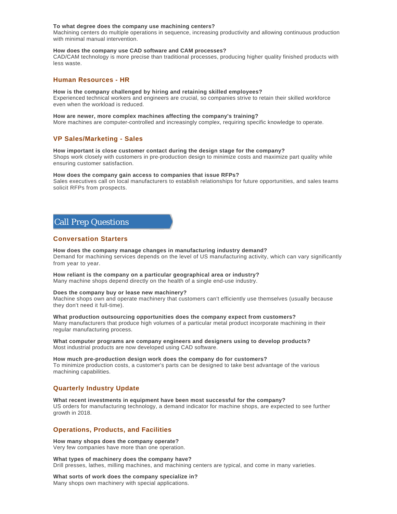#### **To what degree does the company use machining centers?**

Machining centers do multiple operations in sequence, increasing productivity and allowing continuous production with minimal manual intervention.

#### **How does the company use CAD software and CAM processes?**

CAD/CAM technology is more precise than traditional processes, producing higher quality finished products with less waste.

#### **Human Resources - HR**

#### **How is the company challenged by hiring and retaining skilled employees?**

Experienced technical workers and engineers are crucial, so companies strive to retain their skilled workforce even when the workload is reduced.

#### **How are newer, more complex machines affecting the company's training?**

More machines are computer-controlled and increasingly complex, requiring specific knowledge to operate.

#### **VP Sales/Marketing - Sales**

#### **How important is close customer contact during the design stage for the company?**

Shops work closely with customers in pre-production design to minimize costs and maximize part quality while ensuring customer satisfaction.

#### **How does the company gain access to companies that issue RFPs?**

Sales executives call on local manufacturers to establish relationships for future opportunities, and sales teams solicit RFPs from prospects.

# Call Prep Questions

#### **Conversation Starters**

#### **How does the company manage changes in manufacturing industry demand?**

Demand for machining services depends on the level of US manufacturing activity, which can vary significantly from year to year.

#### **How reliant is the company on a particular geographical area or industry?**

Many machine shops depend directly on the health of a single end-use industry.

#### **Does the company buy or lease new machinery?**

Machine shops own and operate machinery that customers can't efficiently use themselves (usually because they don't need it full-time).

#### **What production outsourcing opportunities does the company expect from customers?**

Many manufacturers that produce high volumes of a particular metal product incorporate machining in their regular manufacturing process.

**What computer programs are company engineers and designers using to develop products?** Most industrial products are now developed using CAD software.

#### **How much pre-production design work does the company do for customers?** To minimize production costs, a customer's parts can be designed to take best advantage of the various machining capabilities.

#### **Quarterly Industry Update**

**What recent investments in equipment have been most successful for the company?** US orders for manufacturing technology, a demand indicator for machine shops, are expected to see further growth in 2018.

#### **Operations, Products, and Facilities**

**How many shops does the company operate?** Very few companies have more than one operation.

**What types of machinery does the company have?** Drill presses, lathes, milling machines, and machining centers are typical, and come in many varieties.

**What sorts of work does the company specialize in?** Many shops own machinery with special applications.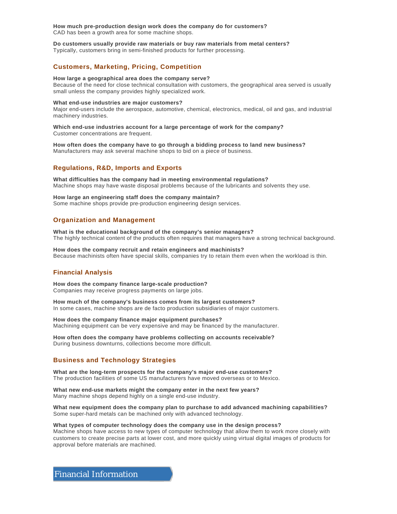**How much pre-production design work does the company do for customers?** CAD has been a growth area for some machine shops.

#### **Do customers usually provide raw materials or buy raw materials from metal centers?**

Typically, customers bring in semi-finished products for further processing.

#### **Customers, Marketing, Pricing, Competition**

#### **How large a geographical area does the company serve?**

Because of the need for close technical consultation with customers, the geographical area served is usually small unless the company provides highly specialized work.

#### **What end-use industries are major customers?**

Major end-users include the aerospace, automotive, chemical, electronics, medical, oil and gas, and industrial machinery industries.

#### **Which end-use industries account for a large percentage of work for the company?** Customer concentrations are frequent.

**How often does the company have to go through a bidding process to land new business?** Manufacturers may ask several machine shops to bid on a piece of business.

#### **Regulations, R&D, Imports and Exports**

**What difficulties has the company had in meeting environmental regulations?** Machine shops may have waste disposal problems because of the lubricants and solvents they use.

#### **How large an engineering staff does the company maintain?**

Some machine shops provide pre-production engineering design services.

#### **Organization and Management**

**What is the educational background of the company's senior managers?** The highly technical content of the products often requires that managers have a strong technical background.

**How does the company recruit and retain engineers and machinists?** Because machinists often have special skills, companies try to retain them even when the workload is thin.

#### **Financial Analysis**

**How does the company finance large-scale production?** Companies may receive progress payments on large jobs.

**How much of the company's business comes from its largest customers?** In some cases, machine shops are de facto production subsidiaries of major customers.

**How does the company finance major equipment purchases?** Machining equipment can be very expensive and may be financed by the manufacturer.

**How often does the company have problems collecting on accounts receivable?** During business downturns, collections become more difficult.

#### **Business and Technology Strategies**

**What are the long-term prospects for the company's major end-use customers?** The production facilities of some US manufacturers have moved overseas or to Mexico.

**What new end-use markets might the company enter in the next few years?** Many machine shops depend highly on a single end-use industry.

**What new equipment does the company plan to purchase to add advanced machining capabilities?** Some super-hard metals can be machined only with advanced technology.

#### **What types of computer technology does the company use in the design process?**

Machine shops have access to new types of computer technology that allow them to work more closely with customers to create precise parts at lower cost, and more quickly using virtual digital images of products for approval before materials are machined.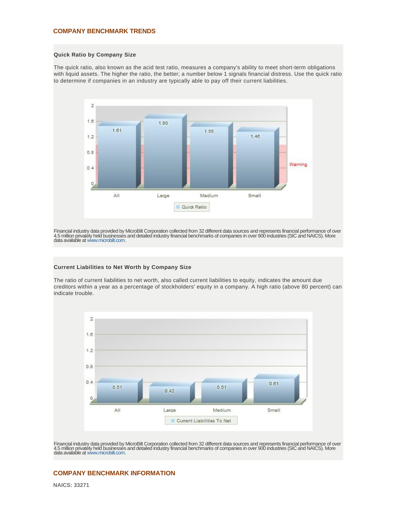#### **COMPANY BENCHMARK TRENDS**

#### **Quick Ratio by Company Size**

The quick ratio, also known as the acid test ratio, measures a company's ability to meet short-term obligations with liquid assets. The higher the ratio, the better; a number below 1 signals financial distress. Use the quick ratio to determine if companies in an industry are typically able to pay off their current liabilities.



Financial industry data provided by MicroBilt Corporation collected from 32 different data sources and represents financial performance of over<br>4.5 million privately held businesses and detailed industry financial benchmar

#### **Current Liabilities to Net Worth by Company Size**

The ratio of current liabilities to net worth, also called current liabilities to equity, indicates the amount due creditors within a year as a percentage of stockholders' equity in a company. A high ratio (above 80 percent) can indicate trouble.



Financial industry data provided by MicroBilt Corporation collected from 32 different data sources and represents financial performance of over 4.5 million privatély held businessés and detailed industry financial benchmarks of companies in over 900 industries (SIC and NAICS). More<br>data available at www.microbilt.com.

### **COMPANY BENCHMARK INFORMATION**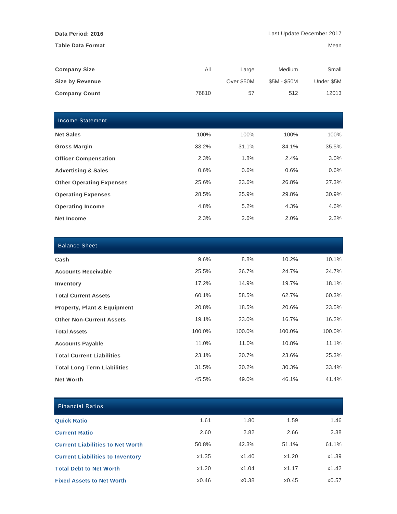**Table Data Format** Mean

| <b>Company Size</b>    | All   | Large      | Medium       | Small      |
|------------------------|-------|------------|--------------|------------|
| <b>Size by Revenue</b> |       | Over \$50M | \$5M - \$50M | Under \$5M |
| <b>Company Count</b>   | 76810 | 57         | 512          | 12013      |

| <b>Income Statement</b>         |       |       |       |         |
|---------------------------------|-------|-------|-------|---------|
| <b>Net Sales</b>                | 100%  | 100%  | 100%  | 100%    |
| <b>Gross Margin</b>             | 33.2% | 31.1% | 34.1% | 35.5%   |
| <b>Officer Compensation</b>     | 2.3%  | 1.8%  | 2.4%  | 3.0%    |
| <b>Advertising &amp; Sales</b>  | 0.6%  | 0.6%  | 0.6%  | 0.6%    |
| <b>Other Operating Expenses</b> | 25.6% | 23.6% | 26.8% | 27.3%   |
| <b>Operating Expenses</b>       | 28.5% | 25.9% | 29.8% | 30.9%   |
| <b>Operating Income</b>         | 4.8%  | 5.2%  | 4.3%  | 4.6%    |
| Net Income                      | 2.3%  | 2.6%  | 2.0%  | $2.2\%$ |

| <b>Balance Sheet</b>                   |        |        |        |        |
|----------------------------------------|--------|--------|--------|--------|
| Cash                                   | 9.6%   | 8.8%   | 10.2%  | 10.1%  |
| <b>Accounts Receivable</b>             | 25.5%  | 26.7%  | 24.7%  | 24.7%  |
| Inventory                              | 17.2%  | 14.9%  | 19.7%  | 18.1%  |
| <b>Total Current Assets</b>            | 60.1%  | 58.5%  | 62.7%  | 60.3%  |
| <b>Property, Plant &amp; Equipment</b> | 20.8%  | 18.5%  | 20.6%  | 23.5%  |
| <b>Other Non-Current Assets</b>        | 19.1%  | 23.0%  | 16.7%  | 16.2%  |
| <b>Total Assets</b>                    | 100.0% | 100.0% | 100.0% | 100.0% |
| <b>Accounts Payable</b>                | 11.0%  | 11.0%  | 10.8%  | 11.1%  |
| <b>Total Current Liabilities</b>       | 23.1%  | 20.7%  | 23.6%  | 25.3%  |
| <b>Total Long Term Liabilities</b>     | 31.5%  | 30.2%  | 30.3%  | 33.4%  |
| <b>Net Worth</b>                       | 45.5%  | 49.0%  | 46.1%  | 41.4%  |

| <b>Financial Ratios</b>                 |       |       |       |       |
|-----------------------------------------|-------|-------|-------|-------|
| <b>Quick Ratio</b>                      | 1.61  | 1.80  | 1.59  | 1.46  |
| <b>Current Ratio</b>                    | 2.60  | 2.82  | 2.66  | 2.38  |
| <b>Current Liabilities to Net Worth</b> | 50.8% | 42.3% | 51.1% | 61.1% |
| <b>Current Liabilities to Inventory</b> | x1.35 | x1.40 | x1.20 | x1.39 |
| <b>Total Debt to Net Worth</b>          | x1.20 | x1.04 | x1.17 | x1.42 |
| <b>Fixed Assets to Net Worth</b>        | x0.46 | x0.38 | x0.45 | x0.57 |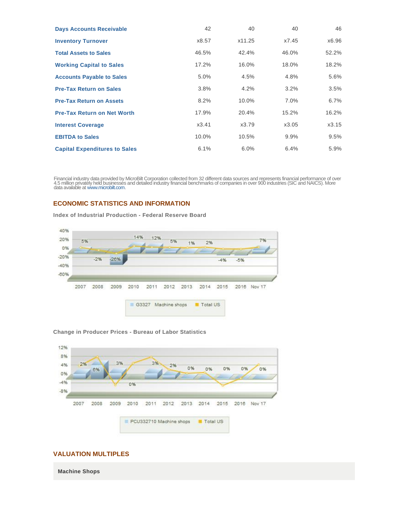| <b>Days Accounts Receivable</b>      | 42    | 40     | 40      | 46      |
|--------------------------------------|-------|--------|---------|---------|
| <b>Inventory Turnover</b>            | x8.57 | x11.25 | x7.45   | x6.96   |
| <b>Total Assets to Sales</b>         | 46.5% | 42.4%  | 46.0%   | 52.2%   |
| <b>Working Capital to Sales</b>      | 17.2% | 16.0%  | 18.0%   | 18.2%   |
| <b>Accounts Payable to Sales</b>     | 5.0%  | 4.5%   | 4.8%    | 5.6%    |
| <b>Pre-Tax Return on Sales</b>       | 3.8%  | 4.2%   | 3.2%    | 3.5%    |
| <b>Pre-Tax Return on Assets</b>      | 8.2%  | 10.0%  | $7.0\%$ | $6.7\%$ |
| <b>Pre-Tax Return on Net Worth</b>   | 17.9% | 20.4%  | 15.2%   | 16.2%   |
| <b>Interest Coverage</b>             | x3.41 | x3.79  | x3.05   | x3.15   |
| <b>EBITDA to Sales</b>               | 10.0% | 10.5%  | 9.9%    | $9.5\%$ |
| <b>Capital Expenditures to Sales</b> | 6.1%  | 6.0%   | 6.4%    | 5.9%    |

Financial industry data provided by MicroBilt Corporation collected from 32 different data sources and represents financial performance of over<br>4.5 million privately held businesses and detailed industry financial benchmar

## **ECONOMIC STATISTICS AND INFORMATION**

**Index of Industrial Production - Federal Reserve Board**



#### **Change in Producer Prices - Bureau of Labor Statistics**



# **VALUATION MULTIPLES**

**Machine Shops**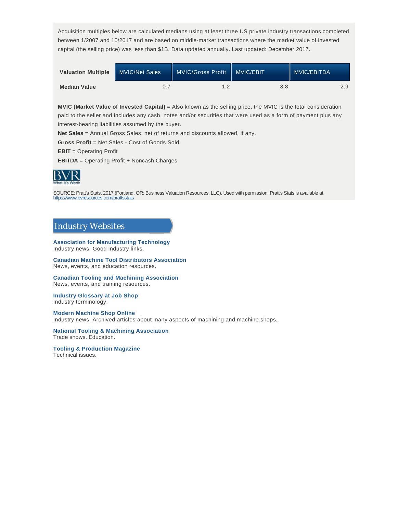Acquisition multiples below are calculated medians using at least three US private industry transactions completed between 1/2007 and 10/2017 and are based on middle-market transactions where the market value of invested capital (the selling price) was less than \$1B. Data updated annually. Last updated: December 2017.

| <b>Valuation Multiple</b> | <b>MVIC/Net Sales</b> | <b>MVIC/Gross Profit</b> | <b>MVIC/EBIT</b> | MVIC/EBITDA <sup>1</sup> |
|---------------------------|-----------------------|--------------------------|------------------|--------------------------|
| <b>Median Value</b>       |                       |                          | 3.8              |                          |

**MVIC (Market Value of Invested Capital)** = Also known as the selling price, the MVIC is the total consideration paid to the seller and includes any cash, notes and/or securities that were used as a form of payment plus any interest-bearing liabilities assumed by the buyer.

**Net Sales** = Annual Gross Sales, net of returns and discounts allowed, if any.

**Gross Profit** = Net Sales - Cost of Goods Sold

**EBIT** = Operating Profit

**EBITDA** = Operating Profit + Noncash Charges



SOURCE: Pratt's Stats, 2017 (Portland, OR: Business Valuation Resources, LLC). Used with permission. Pratt's Stats is available at https://www.bvresources.com/prattsstats

# Industry Websites

**Association for Manufacturing Technology** Industry news. Good industry links.

**Canadian Machine Tool Distributors Association** News, events, and education resources.

**Canadian Tooling and Machining Association** News, events, and training resources.

**Industry Glossary at Job Shop** Industry terminology.

**Modern Machine Shop Online** Industry news. Archived articles about many aspects of machining and machine shops.

#### **National Tooling & Machining Association** Trade shows. Education.

**Tooling & Production Magazine** Technical issues.